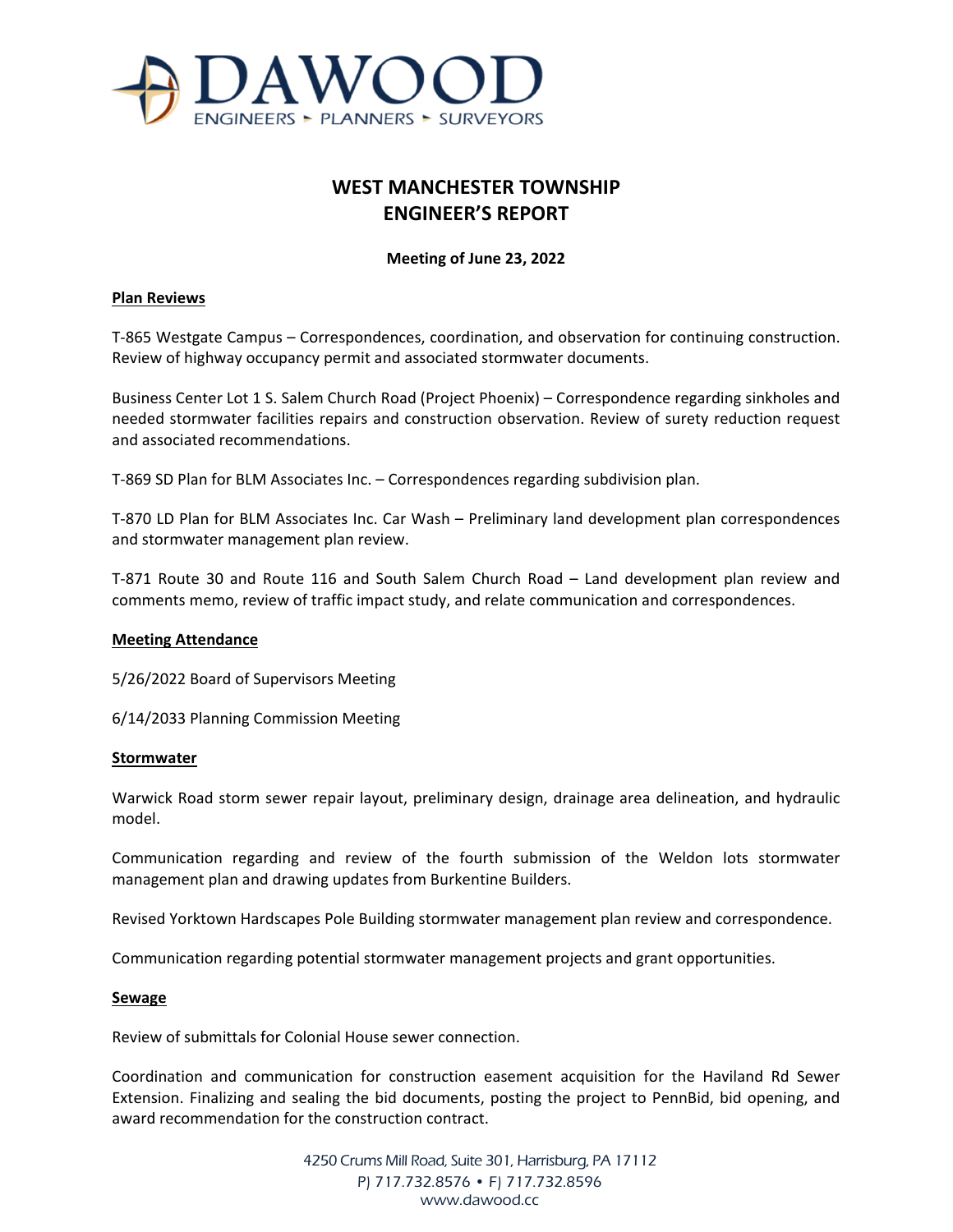

# **WEST MANCHESTER TOWNSHIP ENGINEER'S REPORT**

## **Meeting of June 23, 2022**

#### **Plan Reviews**

T-865 Westgate Campus – Correspondences, coordination, and observation for continuing construction. Review of highway occupancy permit and associated stormwater documents.

Business Center Lot 1 S. Salem Church Road (Project Phoenix) – Correspondence regarding sinkholes and needed stormwater facilities repairs and construction observation. Review of surety reduction request and associated recommendations.

T-869 SD Plan for BLM Associates Inc. – Correspondences regarding subdivision plan.

T-870 LD Plan for BLM Associates Inc. Car Wash – Preliminary land development plan correspondences and stormwater management plan review.

T-871 Route 30 and Route 116 and South Salem Church Road – Land development plan review and comments memo, review of traffic impact study, and relate communication and correspondences.

#### **Meeting Attendance**

5/26/2022 Board of Supervisors Meeting

6/14/2033 Planning Commission Meeting

#### **Stormwater**

Warwick Road storm sewer repair layout, preliminary design, drainage area delineation, and hydraulic model.

Communication regarding and review of the fourth submission of the Weldon lots stormwater management plan and drawing updates from Burkentine Builders.

Revised Yorktown Hardscapes Pole Building stormwater management plan review and correspondence.

Communication regarding potential stormwater management projects and grant opportunities.

#### **Sewage**

Review of submittals for Colonial House sewer connection.

Coordination and communication for construction easement acquisition for the Haviland Rd Sewer Extension. Finalizing and sealing the bid documents, posting the project to PennBid, bid opening, and award recommendation for the construction contract.

> 4250 Crums Mill Road, Suite 301, Harrisburg, PA 17112 P) 717.732.8576 • F) 717.732.8596 www.dawood.cc